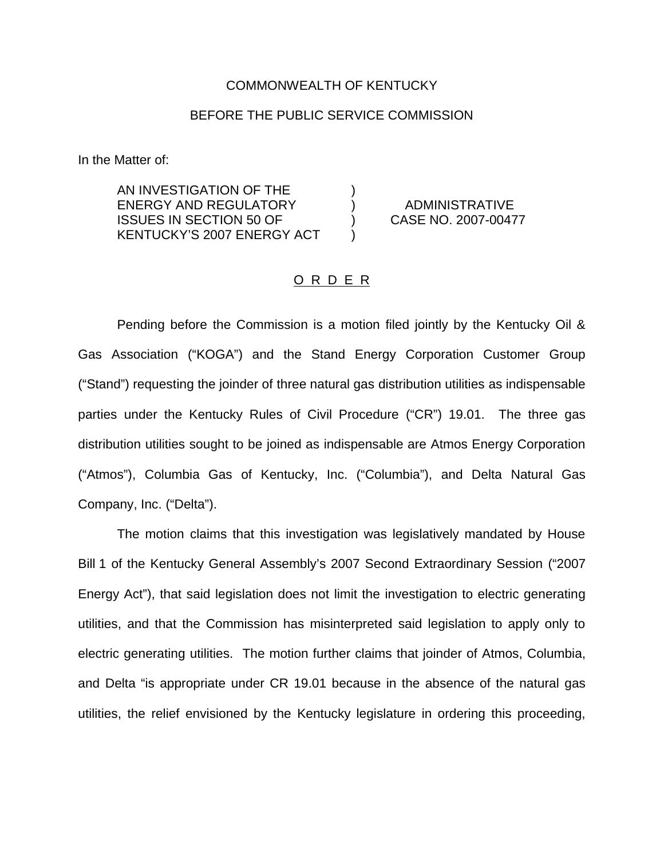## COMMONWEALTH OF KENTUCKY

## BEFORE THE PUBLIC SERVICE COMMISSION

In the Matter of:

AN INVESTIGATION OF THE ) ENERGY AND REGULATORY ) ADMINISTRATIVE ISSUES IN SECTION 50 OF ) CASE NO. 2007-00477 KENTUCKY'S 2007 ENERGY ACT )

## O R D E R

Pending before the Commission is a motion filed jointly by the Kentucky Oil & Gas Association ("KOGA") and the Stand Energy Corporation Customer Group ("Stand") requesting the joinder of three natural gas distribution utilities as indispensable parties under the Kentucky Rules of Civil Procedure ("CR") 19.01. The three gas distribution utilities sought to be joined as indispensable are Atmos Energy Corporation ("Atmos"), Columbia Gas of Kentucky, Inc. ("Columbia"), and Delta Natural Gas Company, Inc. ("Delta").

The motion claims that this investigation was legislatively mandated by House Bill 1 of the Kentucky General Assembly's 2007 Second Extraordinary Session ("2007 Energy Act"), that said legislation does not limit the investigation to electric generating utilities, and that the Commission has misinterpreted said legislation to apply only to electric generating utilities. The motion further claims that joinder of Atmos, Columbia, and Delta "is appropriate under CR 19.01 because in the absence of the natural gas utilities, the relief envisioned by the Kentucky legislature in ordering this proceeding,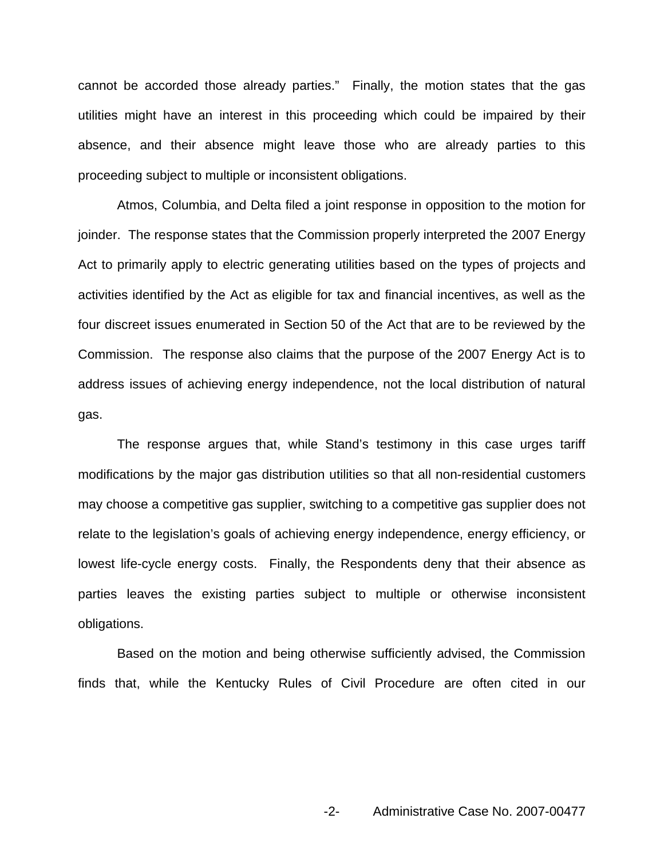cannot be accorded those already parties." Finally, the motion states that the gas utilities might have an interest in this proceeding which could be impaired by their absence, and their absence might leave those who are already parties to this proceeding subject to multiple or inconsistent obligations.

Atmos, Columbia, and Delta filed a joint response in opposition to the motion for joinder. The response states that the Commission properly interpreted the 2007 Energy Act to primarily apply to electric generating utilities based on the types of projects and activities identified by the Act as eligible for tax and financial incentives, as well as the four discreet issues enumerated in Section 50 of the Act that are to be reviewed by the Commission. The response also claims that the purpose of the 2007 Energy Act is to address issues of achieving energy independence, not the local distribution of natural gas.

The response argues that, while Stand's testimony in this case urges tariff modifications by the major gas distribution utilities so that all non-residential customers may choose a competitive gas supplier, switching to a competitive gas supplier does not relate to the legislation's goals of achieving energy independence, energy efficiency, or lowest life-cycle energy costs. Finally, the Respondents deny that their absence as parties leaves the existing parties subject to multiple or otherwise inconsistent obligations.

Based on the motion and being otherwise sufficiently advised, the Commission finds that, while the Kentucky Rules of Civil Procedure are often cited in our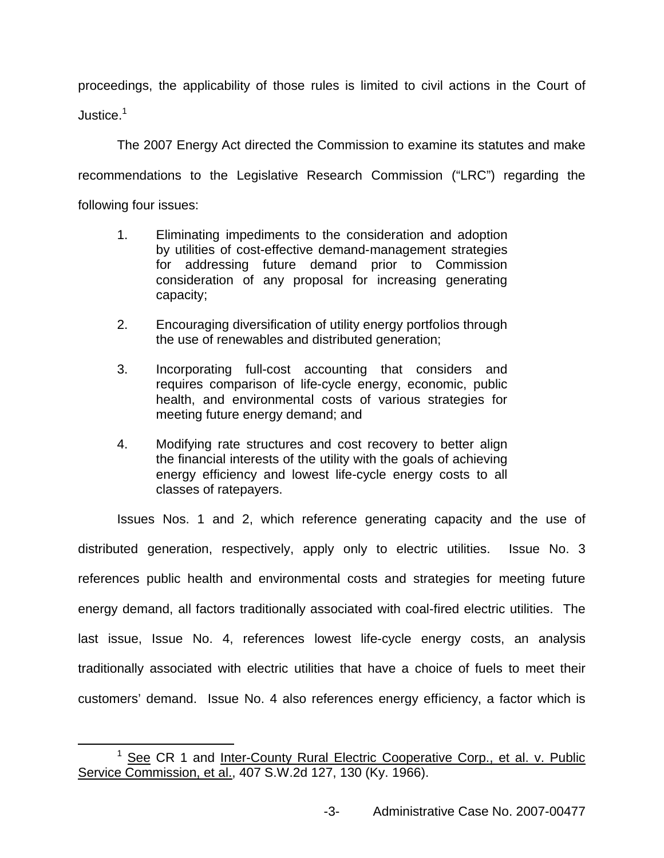proceedings, the applicability of those rules is limited to civil actions in the Court of Justice.<sup>1</sup>

The 2007 Energy Act directed the Commission to examine its statutes and make recommendations to the Legislative Research Commission ("LRC") regarding the following four issues:

- 1. Eliminating impediments to the consideration and adoption by utilities of cost-effective demand-management strategies for addressing future demand prior to Commission consideration of any proposal for increasing generating capacity;
- 2. Encouraging diversification of utility energy portfolios through the use of renewables and distributed generation;
- 3. Incorporating full-cost accounting that considers and requires comparison of life-cycle energy, economic, public health, and environmental costs of various strategies for meeting future energy demand; and
- 4. Modifying rate structures and cost recovery to better align the financial interests of the utility with the goals of achieving energy efficiency and lowest life-cycle energy costs to all classes of ratepayers.

Issues Nos. 1 and 2, which reference generating capacity and the use of distributed generation, respectively, apply only to electric utilities. Issue No. 3 references public health and environmental costs and strategies for meeting future energy demand, all factors traditionally associated with coal-fired electric utilities. The last issue, Issue No. 4, references lowest life-cycle energy costs, an analysis traditionally associated with electric utilities that have a choice of fuels to meet their customers' demand. Issue No. 4 also references energy efficiency, a factor which is

<sup>&</sup>lt;sup>1</sup> See CR 1 and Inter-County Rural Electric Cooperative Corp., et al. v. Public Service Commission, et al., 407 S.W.2d 127, 130 (Ky. 1966).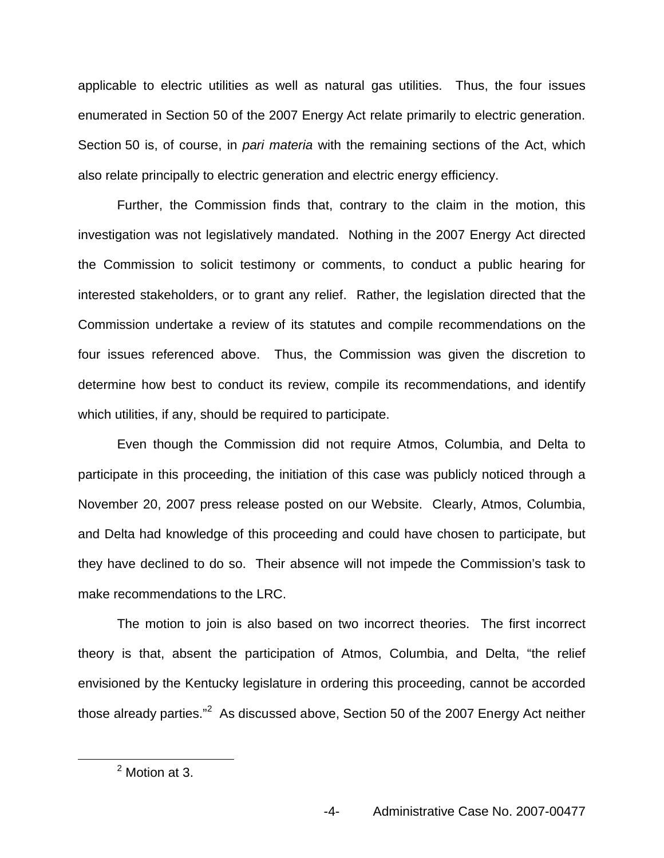applicable to electric utilities as well as natural gas utilities. Thus, the four issues enumerated in Section 50 of the 2007 Energy Act relate primarily to electric generation. Section 50 is, of course, in *pari materia* with the remaining sections of the Act, which also relate principally to electric generation and electric energy efficiency.

Further, the Commission finds that, contrary to the claim in the motion, this investigation was not legislatively mandated. Nothing in the 2007 Energy Act directed the Commission to solicit testimony or comments, to conduct a public hearing for interested stakeholders, or to grant any relief. Rather, the legislation directed that the Commission undertake a review of its statutes and compile recommendations on the four issues referenced above. Thus, the Commission was given the discretion to determine how best to conduct its review, compile its recommendations, and identify which utilities, if any, should be required to participate.

Even though the Commission did not require Atmos, Columbia, and Delta to participate in this proceeding, the initiation of this case was publicly noticed through a November 20, 2007 press release posted on our Website. Clearly, Atmos, Columbia, and Delta had knowledge of this proceeding and could have chosen to participate, but they have declined to do so. Their absence will not impede the Commission's task to make recommendations to the LRC.

The motion to join is also based on two incorrect theories. The first incorrect theory is that, absent the participation of Atmos, Columbia, and Delta, "the relief envisioned by the Kentucky legislature in ordering this proceeding, cannot be accorded those already parties."<sup>2</sup> As discussed above, Section 50 of the 2007 Energy Act neither

<sup>2</sup> Motion at 3.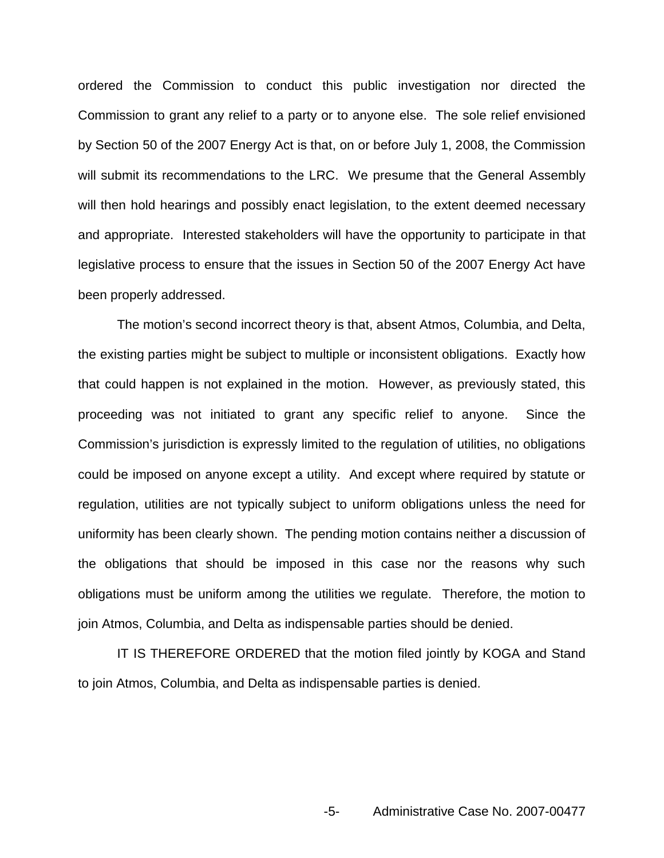ordered the Commission to conduct this public investigation nor directed the Commission to grant any relief to a party or to anyone else. The sole relief envisioned by Section 50 of the 2007 Energy Act is that, on or before July 1, 2008, the Commission will submit its recommendations to the LRC. We presume that the General Assembly will then hold hearings and possibly enact legislation, to the extent deemed necessary and appropriate. Interested stakeholders will have the opportunity to participate in that legislative process to ensure that the issues in Section 50 of the 2007 Energy Act have been properly addressed.

The motion's second incorrect theory is that, absent Atmos, Columbia, and Delta, the existing parties might be subject to multiple or inconsistent obligations. Exactly how that could happen is not explained in the motion. However, as previously stated, this proceeding was not initiated to grant any specific relief to anyone. Since the Commission's jurisdiction is expressly limited to the regulation of utilities, no obligations could be imposed on anyone except a utility. And except where required by statute or regulation, utilities are not typically subject to uniform obligations unless the need for uniformity has been clearly shown. The pending motion contains neither a discussion of the obligations that should be imposed in this case nor the reasons why such obligations must be uniform among the utilities we regulate. Therefore, the motion to join Atmos, Columbia, and Delta as indispensable parties should be denied.

IT IS THEREFORE ORDERED that the motion filed jointly by KOGA and Stand to join Atmos, Columbia, and Delta as indispensable parties is denied.